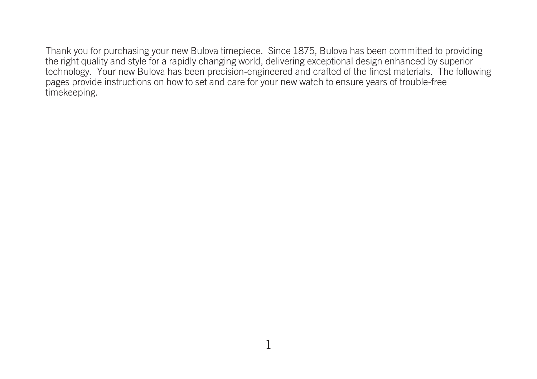Thank you for purchasing your new Bulova timepiece. Since 1875, Bulova has been committed to providing the right quality and style for a rapidly changing world, delivering exceptional design enhanced by superior technology. Your new Bulova has been precision-engineered and crafted of the finest materials. The following pages provide instructions on how to set and care for your new watch to ensure years of trouble-free timekeeping.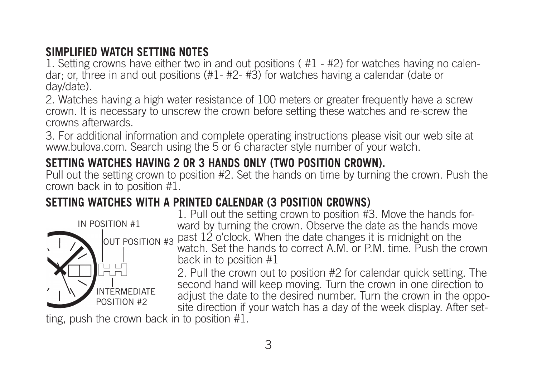## **SIMPLIFIED WATCH SETTING NOTES**

1. Setting crowns have either two in and out positions ( #1 - #2) for watches having no calendar; or, three in and out positions (#1- #2- #3) for watches having a calendar (date or day/date).

2. Watches having a high water resistance of 100 meters or greater frequently have a screw crown. It is necessary to unscrew the crown before setting these watches and re-screw the crowns afterwards.

3. For additional information and complete operating instructions please visit our web site at www.bulova.com. Search using the 5 or 6 character style number of your watch.

## **SETTING WATCHES HAVING 2 OR 3 HANDS ONLY (TWO POSITION CROWN).**

Pull out the setting crown to position #2. Set the hands on time by turning the crown. Push the crown back in to position #1.

# **SETTING WATCHES WITH A PRINTED CALENDAR (3 POSITION CROWNS)**



1. Pull out the setting crown to position #3. Move the hands forward by turning the crown. Observe the date as the hands move past 12 o'clock. When the date changes it is midnight on the watch. Set the hands to correct A.M. or P.M. time. Push the crown back in to position #1

2. Pull the crown out to position #2 for calendar quick setting. The second hand will keep moving. Turn the crown in one direction to adjust the date to the desired number. Turn the crown in the opposite direction if your watch has a day of the week display. After set-

ting, push the crown back in to position #1.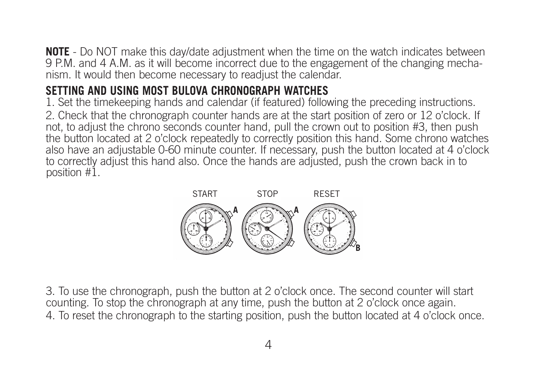**NOTE** - Do NOT make this day/date adjustment when the time on the watch indicates between 9 P.M. and 4 A.M. as it will become incorrect due to the engagement of the changing mechanism. It would then become necessary to readjust the calendar.

## **SETTING AND USING MOST BULOVA CHRONOGRAPH WATCHES**

1. Set the timekeeping hands and calendar (if featured) following the preceding instructions. 2. Check that the chronograph counter hands are at the start position of zero or 12 o'clock. If not, to adjust the chrono seconds counter hand, pull the crown out to position #3, then push the button located at 2 o'clock repeatedly to correctly position this hand. Some chrono watches also have an adjustable 0-60 minute counter. If necessary, push the button located at 4 o'clock to correctly adjust this hand also. Once the hands are adjusted, push the crown back in to position #1.



3. To use the chronograph, push the button at 2 o'clock once. The second counter will start counting. To stop the chronograph at any time, push the button at 2 o'clock once again. 4. To reset the chronograph to the starting position, push the button located at 4 o'clock once.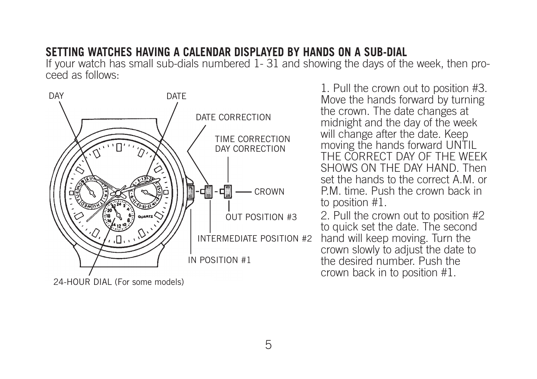#### **SETTING WATCHES HAVING A CALENDAR DISPLAYED BY HANDS ON A SUB-DIAL**

If your watch has small sub-dials numbered 1- 31 and showing the days of the week, then proceed as follows:



1. Pull the crown out to position #3. Move the hands forward by turning the crown. The date changes at midnight and the day of the week will change after the date. Keep moving the hands forward UNTIL THE CORRECT DAY OF THE WEEK SHOWS ON THE DAY HAND. Then set the hands to the correct A.M. or P.M. time. Push the crown back in to position #1.

2. Pull the crown out to position #2 to quick set the date. The second hand will keep moving. Turn the crown slowly to adjust the date to the desired number. Push the crown back in to position #1.